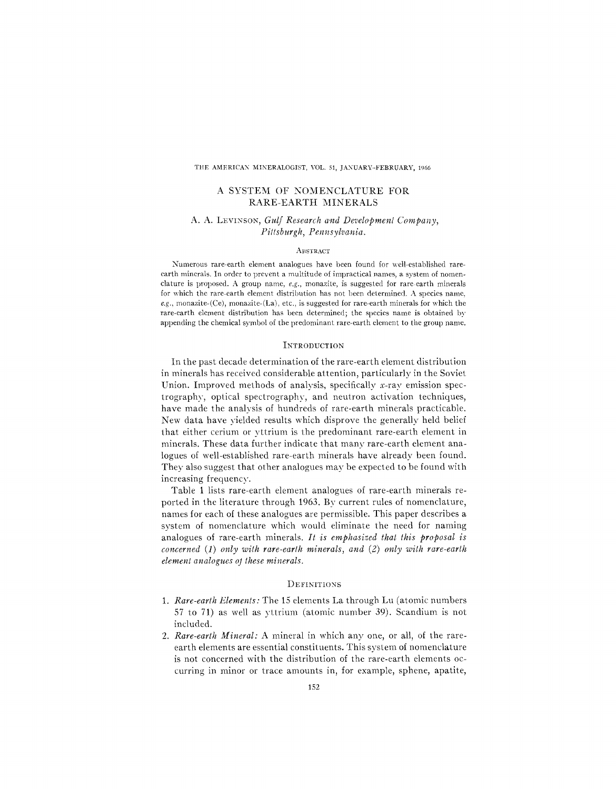### THE AMERICAN MINERALOGIST, VOL. 51, JANUARY-FEBRUARY, 1966

# A SYSTEM OF NOMENCLATURE FOR RARE-EARTH MINERALS

## A. A. LEVINSON, *Gulf Research and Development Company*, *Pittsburgh, Pennsylvania.*

### **ABSTRACT**

Numerous rare-earth element analogues have been found for well-established rareearth minerals. In order to prevent a multitude of impractical names, a system of nomenclature is proposed. A group name, *e.g.,* monazite, is suggested for rare-earth minerals for which the rare-earth element distribution has not been determined. A species name, *e.g.,* monazite-(Ce), monazite-(La), etc., is suggested for rare-earth minerals for which the rare-earth element distribution has been determined; the species name is obtained by appending the chemical symbol of the predominant rare-earth element to the group name.

### **INTRODUCTION**

In the past decade determination of the rare-earth element distribution in minerals has received considerable attention, particularly in the Soviet Union. Improved methods of analysis, specifically x-ray emission spectrography, optical spectrography, and neutron activation techniques, have made the analysis of hundreds of rare-earth minerals practicable. New data have yielded results which disprove the generally held belief that either cerium or yttrium is the predominant rare-earth element in minerals. These data further indicate that many rare-earth element analogues of well-established rare-earth minerals have already been found. They also suggest that other analogues may be expected to be found with increasing frequency.

Table 1 lists rare-earth element analogues of rare-earth minerals reported in the literature through 1963. By current rules of nomenclature, names for each of these analogues are permissible. This paper describes a system of nomenclature which would eliminate the need for naming analogues of rare-earth minerals. *It is emphasized that this proposal is concerned* (1) *only with rare-earth minerals, and* (2) *only with rare-earth*  $element$  *analogues ot these minerals.* 

### DEFINITIONS

- 1. *Rare-earth Elements:* The 15 elements La through Lu (atomic numbers 57 to 71) as well as yttrium (atomic number 39). Scandium is not included.
- *2. Rare-earth Mineral:* A mineral in which anyone, or all, of the rareearth elements are essential constituents. This system of nomenclature is not concerned with the distribution of the rare-earth elements occurring in minor or trace amounts in, for example, sphene, apatite,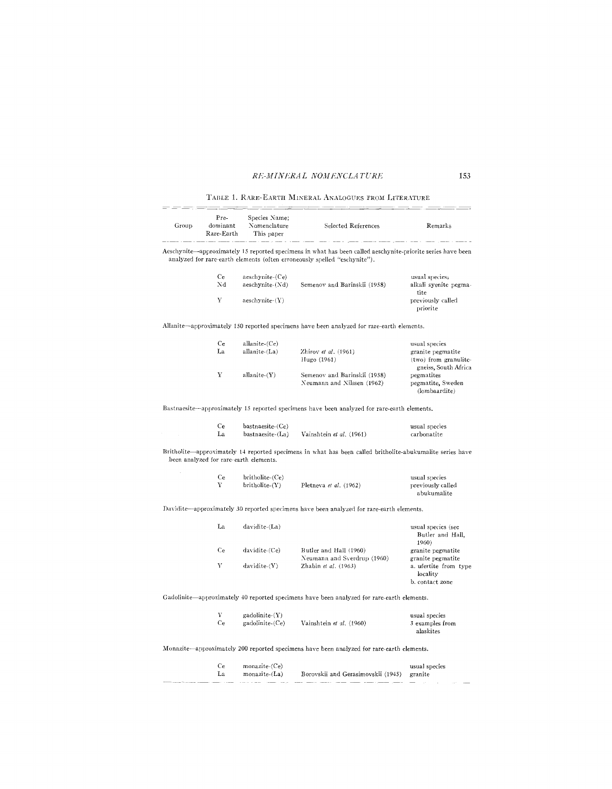# *RKilI IN fcRA L NOill nNCLA TV Rfc* 153

TABLE 1. RARE-EARTH MINERAL ANALOGUES FROM LITERATURE

| Group | Pre-<br>dominant<br>Rare-Earth         | Species Name;<br>Nomenclature<br>This paper | Selected References                                                                                                                                                                      | Remarks                                                                   |
|-------|----------------------------------------|---------------------------------------------|------------------------------------------------------------------------------------------------------------------------------------------------------------------------------------------|---------------------------------------------------------------------------|
|       |                                        |                                             | Aeschynite—approximately 15 reported specimens in what has been called aeschynite-priorite series have been<br>analyzed for rare-earth elements (often erroneously spelled "eschynite"). |                                                                           |
|       | Ce<br>Nd                               | aeschynite-(Ce)<br>aeschynite-(Nd)          | Semenov and Barinskii (1958)                                                                                                                                                             | usual species <sub>5</sub><br>alkali syenite pegma-<br>tite               |
|       | V                                      | aeschynite-(Y)                              |                                                                                                                                                                                          | previously called<br>priorite                                             |
|       |                                        |                                             | Allanite—approximately 150 reported specimens have been analyzed for rare-earth elements.                                                                                                |                                                                           |
|       | Ce                                     | allanite-(Ce)                               |                                                                                                                                                                                          | usual species                                                             |
|       | La                                     | allanite-(La)                               | Zhirov et al. (1961)<br>Hugo (1961)                                                                                                                                                      | granite pegmatite<br>(two) from granulite-<br>gneiss, South Africa        |
|       | Υ                                      | allanite $(Y)$                              | Semenov and Barinskii (1958)<br>Neumann and Nilssen (1962)                                                                                                                               | pegmatites<br>pegmatite, Sweden<br>(lombaardite)                          |
|       |                                        |                                             | Bastnaesite—approximately 15 reported specimens have been analyzed for rare-earth elements.                                                                                              |                                                                           |
|       | Ce                                     | bastnaesite-(Ce)                            |                                                                                                                                                                                          | usual species                                                             |
|       | La                                     | bastnaesite-(La)                            | Vainshtein et al. (1961)                                                                                                                                                                 | carbonatite                                                               |
|       | been analyzed for rare-earth elements. |                                             | Britholite—approximately 14 reported specimens in what has been called britholite-abukumalite series have                                                                                |                                                                           |
|       | Ce                                     | britholite-(Ce)                             |                                                                                                                                                                                          | usual species                                                             |
|       | Y                                      | britholite- $(Y)$                           | Pletneva et al. (1962)                                                                                                                                                                   | previously called<br>abukumalite                                          |
|       |                                        |                                             | Davidite—approximately 30 reported specimens have been analyzed for rare-earth elements.                                                                                                 |                                                                           |
|       | La                                     | davidite-(La)                               |                                                                                                                                                                                          | usual species (see<br>Butler and Hall,<br>1960)                           |
|       | Ce                                     | davidite-(Ce)                               | Butler and Hall (1960)                                                                                                                                                                   | granite pegmatite                                                         |
|       | Y                                      | $davidite-(Y)$                              | Neumann and Sverdrup (1960)<br>Zhabin et al. (1963)                                                                                                                                      | granite pegmatite<br>a. ufertite from type<br>locality<br>b. contact zone |
|       |                                        |                                             | Gadolinite—approximately 40 reported specimens have been analyzed for rare-earth elements.                                                                                               |                                                                           |
|       | Y                                      | gadolinite-(Y)                              |                                                                                                                                                                                          | usual species                                                             |
|       | Ce                                     | gadolinite-(Ce)                             | Vainshtein et al. (1960)                                                                                                                                                                 | 3 examples from<br>alaskites                                              |
|       |                                        |                                             | Monazite—approximately 200 reported specimens have been analyzed for rare-earth elements.                                                                                                |                                                                           |
|       | Ce<br>La                               | monazite-(Ce)<br>monazite-(La)              | Borovskii and Gerasimovskii (1945)                                                                                                                                                       | usual species<br>granite                                                  |
|       |                                        |                                             |                                                                                                                                                                                          |                                                                           |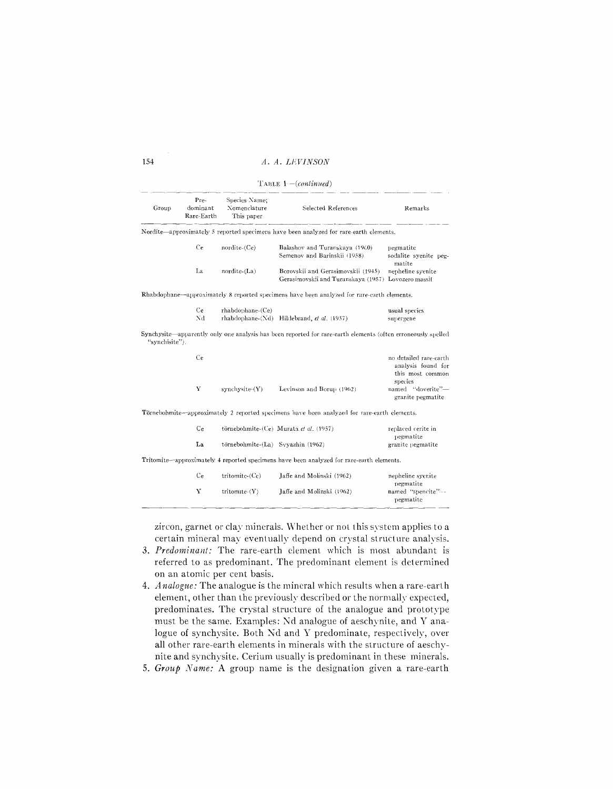## 154 *A. A. L/WINSON*

| TABLE $1$ – (continued) |                                |                                             |                                                                                                              |                                                                             |  |  |
|-------------------------|--------------------------------|---------------------------------------------|--------------------------------------------------------------------------------------------------------------|-----------------------------------------------------------------------------|--|--|
| Group                   | Pre-<br>dominant<br>Rare-Earth | Species Name;<br>Nomenclature<br>This paper | <b>Selected References</b>                                                                                   | Remarks                                                                     |  |  |
|                         |                                |                                             | Nordite-approximately 5 reported specimens have been analyzed for rare-earth elements.                       |                                                                             |  |  |
|                         | Ce                             | $nordite$ - $(Ce)$                          | Balashov and Turanskaya (1960)<br>Semenov and Barinskii (1958)                                               | pegmatite<br>sodalite syenite peg-<br>matite                                |  |  |
|                         | La                             | nordite-(La)                                | Borovskii and Gerasimovskii (1945)<br>Gerasimovskii and Turanskaya (1957) Lovozero massif                    | nepheline syenite                                                           |  |  |
|                         |                                |                                             | Rhabdophane—approximately 8 reported specimens have been analyzed for rare-carth elements.                   |                                                                             |  |  |
|                         | Ce                             | $r$ habdophane- $(Ce)$                      |                                                                                                              | usual species                                                               |  |  |
|                         | Nd                             |                                             | rhabdophane-(Nd) Hildebrand, et al. (1957)                                                                   | supergene                                                                   |  |  |
| "synchisite").          |                                |                                             | Synchysite—apparently only one analysis has been reported for rare-earth elements (often erroneously spelled |                                                                             |  |  |
|                         | Ce                             |                                             |                                                                                                              | no detailed rare-earth<br>analysis found for<br>this most common<br>species |  |  |
|                         | $\mathbf Y$                    | $synchysite-(Y)$                            | Levinson and Borup (1962)                                                                                    | named "doverite"-<br>granite pegmatite                                      |  |  |
|                         |                                |                                             | Törnebohmite—approximately 2 reported specimens have been analyzed for rare-earth elements.                  |                                                                             |  |  |
|                         | Ce                             |                                             | törnebohmite-(Ce) Murata et al. (1957)                                                                       | replaced cerite in<br>pegmatite                                             |  |  |
|                         | La                             | törnebohmite-(La) Svyazhin (1962)           |                                                                                                              | granite pegmatite                                                           |  |  |
|                         |                                |                                             | Tritomite—approximately 4 reported specimens have been analyzed for rare-earth elements.                     |                                                                             |  |  |
|                         | Ce                             | tritomite- $(Ce)$                           | Jaffe and Molinski (1962)                                                                                    | nepheline syenite<br>pegmatite                                              |  |  |
|                         | Y                              | tritomite-(Y)                               | Jaffe and Molinski (1962)                                                                                    | named "spencite" ---<br>pegmatite                                           |  |  |

zircon, garnet or clay minerals. Whether or not this system applies to a certain mineral may eventually depend on crystal structure analysis.

- 3. *Predominant:* The rare-earth dement which is most abundant is referred to as predominant. The predominant dement is determined on an atomic per cent basis.
- *4. Analogue:* The analogue is the mineral which results when a rare-earth element, other than the previously described or the normally expected, predominates. The crystal structure of the analogue and prototype must be the same. Examples: Nd analogue of aeschynite, and Y analogue of synchysite. Both Nd and Y predominate, respectively, over all other rare-earth elements in minerals with the structure of aeschynite and synchysite. Cerium usually is predominant in these minerals.
- 5. *Group Name:* A group name is the designation given a rare-earth

-----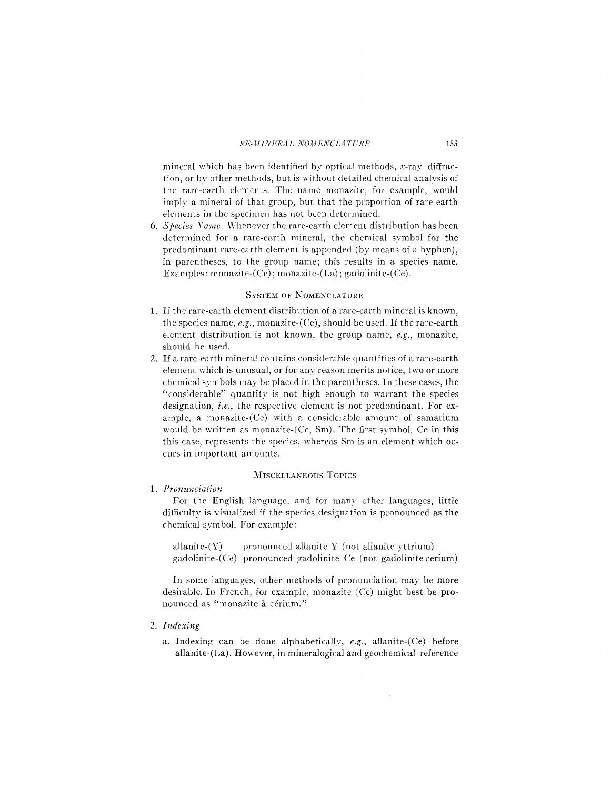mineral which has been identified by optical methods, x-ray diffraction, or by other methods, but is without detailed chemical analysis of the rare-earth elements. The name monazite, for example, would imply a mineral of that group, but that the proportion of rare-earth elements in the specimen has not been determined.

*6. Species Name:* Whenever the rare-earth element distribution has been determined for a rare-earth mineral, the chemical symbol for the predominant rare-earth element is appended (by means of a hyphen), in parentheses, to the group name; this results in a species name. Examples: monazite- $(Ce)$ ; monazite- $(La)$ ; gadolinite- $(Ce)$ .

#### SYSTEM OF NOMENCLATURE

- 1. If the rare-earth element distribution of a rare-earth mineral is known, the species name, *e.g.,* monazite-(Ce), should be used. If the rare-earth element distribution is not known, the group name, *e.g.,* monazite, should be used.
- 2. If a rare-earth mineral contains considerable quantities of a rare-earth element which is unusual, or for any reason merits notice, two or more chemical symbols may be placed in the parentheses. **In** these cases, the "considerable" quantity is not high enough to warrant the species designation, *i.e.,* the respective element is not predominant. For example, a monazite-(Ce) with a considerable amount of samarium would be written as monazite-(Ce, Sm). The first symbol, Ce in this this case, represents the species, whereas Sm is an element which occurs in important amounts.

## MISCELLANEOUS TOPICS

# *1. Pronunciation*

For the English language, and for many other languages, little difficulty is visualized if the species designation is pronounced as the chemical symbol. For example:

allanite- $(Y)$  pronounced allanite Y (not allanite yttrium) gadolinite-(Ce) pronounced gadolinite Ce (not gadolinite cerium)

**In** some languages, other methods of pronunciation may be more desirable. **In** French, for example, monazite-(Ce) might best be pronounced as "monazite à cérium."

### *2. Indexing*

a. Indexing can be done alphabetically, *e.g.,* allanite-(Ce) before allanite-(La). However, in mineralogical and geochemical reference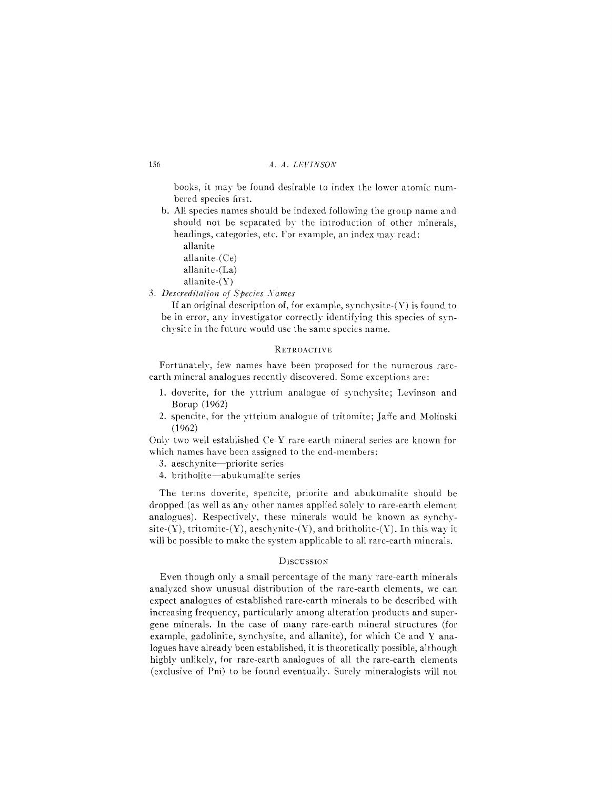### 156 *A. A. L/.;VINSON*

books, it may be found desirable to index the lower atomic numbered species first.

- b. All species names should be indexed following the group name and should not be separated by the introduction of other minerals, headings, categories, etc. For example, an index may read:
	- allanite
	- allanite-(Ce)
	- allanite-(La)
	- allanite-(Y)

*3. Descreditation of Species Names*

If an original description of, for example, synchysite- $(Y)$  is found to be in error, any investigator correctly identifying this species of synchysite in the future would use the same species name.

## RETROACTIVE

Fortunately, few names have been proposed for the numerous rareearth mineral analogues recently discovered. Some exceptions are:

- 1. doverite, for the yttrium analogue of synchysite; Levinson and Borup (1962)
- 2. spencite, for the yttrium analogue of tritomite; Jaffe and Molinski (1962)

Only two well established Ce-Y rare-earth mineral series are known for which names have been assigned to the end-members:

3. aeschynite-priorite series

4. britholite-abukumalite series

The terms doverite, spencite, priorite and abukumalite should be dropped (as well as any other names applied solely to rare-earth element analogues). Respectively, these minerals would be known as synchysite- $(Y)$ , tritomite- $(Y)$ , aeschynite- $(Y)$ , and britholite- $(Y)$ . In this way it will be possible to make the system applicable to all rare-earth minerals.

### **DISCUSSION**

Even though only a small percentage of the many rare-earth minerals analyzed show unusual distribution of the rare-earth elements, we can expect analogues of established rare-earth minerals to be described with increasing frequency, particularly among alteration products and supergene minerals. In the case of many rare-earth mineral structures (for example, gadolinite, synchysite, and allanite), for which Ce and Y analogues have already been established, it is theoretically possible, although highly unlikely, for rare-earth analogues of all the rare-earth elements (exclusive of Pni) to be found eventually. Surely mineralogists will not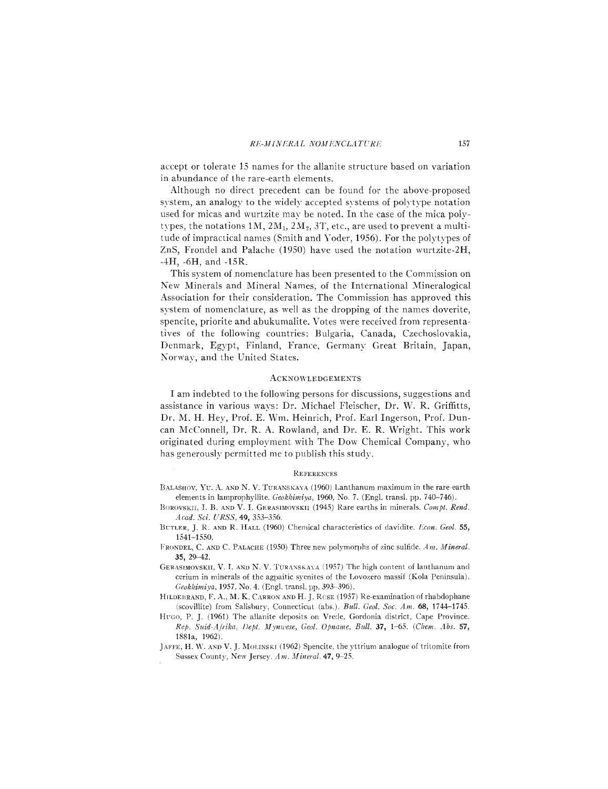accept or tolerate 15 names for the allanite structure based on variation in abundance of the rare-earth elements.

Although no direct precedent can be found for the above-proposed system, an analogy to the widely accepted systems of polytype notation used for micas and wurtzite may be noted. In the case of the mica polytypes, the notations  $1M$ ,  $2M_1$ ,  $2M_2$ ,  $3T$ , etc., are used to prevent a multitude of impractical names (Smith and Yoder, 1956). For the polytypes of ZnS, Frondel and Palache (1950) have used the notation wurtzite-2H, -4H, -6H, and -15R.

This system of nomenclature has been presented to the Commission on New Minerals and Mineral Names, of the International Mineralogical Association for their consideration. The Commission has approved this system of nomenclature, as well as the dropping of the names doverite, spencite, priorite and abukumalite. Votes were received from representatives of the following countries: Bulgaria, Canada, Czechoslovakia, Denmark, Egypt, Finland, France, Germany Great Britain, Japan, Norway, and the United States.

#### **ACKNOWLEDGEMENTS**

I am indebted to the following persons for discussions, suggestions and assistance in various ways: Dr. Michael Fleischer, Dr. W. R. Griffitts, Dr. M. H. Hey, Prof. E. Wm. Heinrich, Prof. Earl Ingerson, Prof. Duncan McConnell, Dr. R. A. Rowland, and Dr. E. R. Wright. This work originated during employment with The Dow Chemical Company, who has generously permitted me to publish this study.

#### **REFERENCES**

- BALASHOV, YU. A. AND N. V. TURANSKAYA (1960) Lanthanum maximum in the rare-earth elements in lamprophyllite. *Geokhimiya,* 1960, No.7. (Eng!. trans!. pp. 740-746).
- BOROVSKII, 1. B. AND V. 1. GERASIMOVSKU (1945) Rare earths in minerals. *Compt. Rend. Acad. Sci. URSS,* 49,353-356.
- HeTLER, J. !{. AND R. HALL (1960) Chemical characteristics of davidite. *l!con. Geol. 55,* 1541-1550.
- FRONDEL, C. AND C. PALACHE (1950) Three new polymorphs of zinc sulfide. *Am. Mineral.*  $35, 29 - 42.$
- GERASIMOVSKII, V. I. AND N. V. TURANSKAYA (1957) The high content of lanthanum and cerium in minerals of the agpaitic syenites of the Lovozero massif (Kola Peninsula). *Geokilimiya,* 1957, No.4. (Engl. trans!. pp. 393-396).
- HILDEBRAND, F. A., M. K. CARRON AND H. J. ROSE (1957) Re-examination of rhabdophane (scovillite) from Salisbury, Connecticut (abs.). *Bull. Geol. Soc. Am.* 68, 1744-1745.
- HUGO, P. J. (1961) The allanite deposits on Vrede, Gordonia district, Cape Province. *Rep. Suid-Aji'ika, f)ept. JIyn1C'ese, Geol. Opname, Bull.* 37, 1-65. *(Chem. Abs. 57,* 1881a, 1962).
- JAFFE, H. W. AND V. J. MOLINSKI (1962) Spencite, the yttrium analogue of tritomite from Sussex County, New Jersey. Am. Mineral. 47, 9-25.